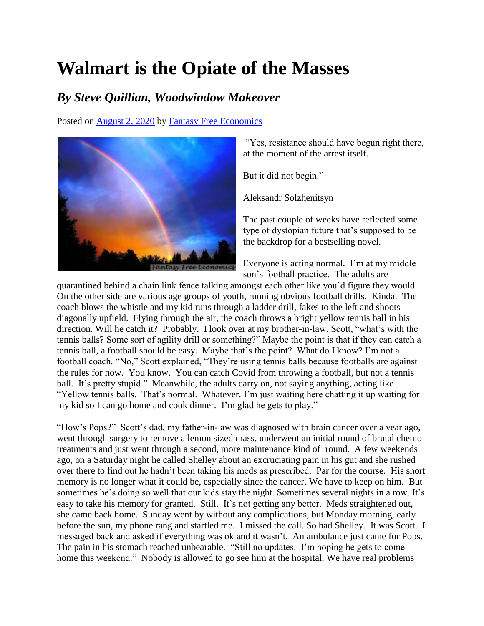## **Walmart is the Opiate of the Masses**

## *By Steve Quillian, Woodwindow Makeover*

Posted on [August 2, 2020](http://quillian.net/blog/?p=7227) by [Fantasy Free Economics](http://quillian.net/blog/author/james-quillian/)



"Yes, resistance should have begun right there, at the moment of the arrest itself.

But it did not begin."

Aleksandr Solzhenitsyn

The past couple of weeks have reflected some type of dystopian future that's supposed to be the backdrop for a bestselling novel.

Everyone is acting normal. I'm at my middle son's football practice. The adults are

quarantined behind a chain link fence talking amongst each other like you'd figure they would. On the other side are various age groups of youth, running obvious football drills. Kinda. The coach blows the whistle and my kid runs through a ladder drill, fakes to the left and shoots diagonally upfield. Flying through the air, the coach throws a bright yellow tennis ball in his direction. Will he catch it? Probably. I look over at my brother-in-law, Scott, "what's with the tennis balls? Some sort of agility drill or something?" Maybe the point is that if they can catch a tennis ball, a football should be easy. Maybe that's the point? What do I know? I'm not a football coach. "No," Scott explained, "They're using tennis balls because footballs are against the rules for now. You know. You can catch Covid from throwing a football, but not a tennis ball. It's pretty stupid." Meanwhile, the adults carry on, not saying anything, acting like "Yellow tennis balls. That's normal. Whatever. I'm just waiting here chatting it up waiting for my kid so I can go home and cook dinner. I'm glad he gets to play."

"How's Pops?" Scott's dad, my father-in-law was diagnosed with brain cancer over a year ago, went through surgery to remove a lemon sized mass, underwent an initial round of brutal chemo treatments and just went through a second, more maintenance kind of round. A few weekends ago, on a Saturday night he called Shelley about an excruciating pain in his gut and she rushed over there to find out he hadn't been taking his meds as prescribed. Par for the course. His short memory is no longer what it could be, especially since the cancer. We have to keep on him. But sometimes he's doing so well that our kids stay the night. Sometimes several nights in a row. It's easy to take his memory for granted. Still. It's not getting any better. Meds straightened out, she came back home. Sunday went by without any complications, but Monday morning, early before the sun, my phone rang and startled me. I missed the call. So had Shelley. It was Scott. I messaged back and asked if everything was ok and it wasn't. An ambulance just came for Pops. The pain in his stomach reached unbearable. "Still no updates. I'm hoping he gets to come home this weekend." Nobody is allowed to go see him at the hospital. We have real problems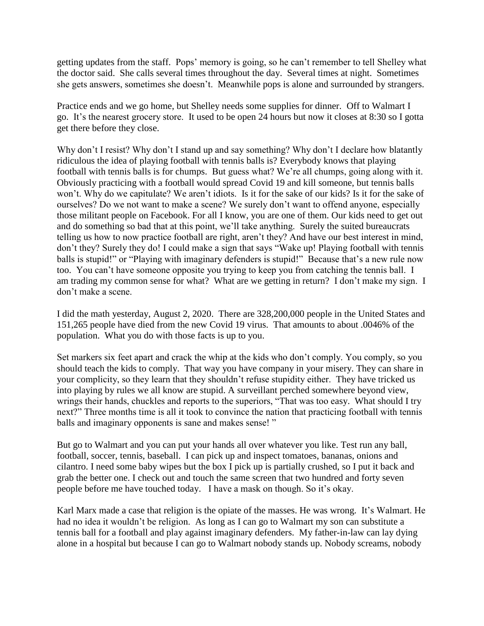getting updates from the staff. Pops' memory is going, so he can't remember to tell Shelley what the doctor said. She calls several times throughout the day. Several times at night. Sometimes she gets answers, sometimes she doesn't. Meanwhile pops is alone and surrounded by strangers.

Practice ends and we go home, but Shelley needs some supplies for dinner. Off to Walmart I go. It's the nearest grocery store. It used to be open 24 hours but now it closes at 8:30 so I gotta get there before they close.

Why don't I resist? Why don't I stand up and say something? Why don't I declare how blatantly ridiculous the idea of playing football with tennis balls is? Everybody knows that playing football with tennis balls is for chumps. But guess what? We're all chumps, going along with it. Obviously practicing with a football would spread Covid 19 and kill someone, but tennis balls won't. Why do we capitulate? We aren't idiots. Is it for the sake of our kids? Is it for the sake of ourselves? Do we not want to make a scene? We surely don't want to offend anyone, especially those militant people on Facebook. For all I know, you are one of them. Our kids need to get out and do something so bad that at this point, we'll take anything. Surely the suited bureaucrats telling us how to now practice football are right, aren't they? And have our best interest in mind, don't they? Surely they do! I could make a sign that says "Wake up! Playing football with tennis balls is stupid!" or "Playing with imaginary defenders is stupid!" Because that's a new rule now too. You can't have someone opposite you trying to keep you from catching the tennis ball. I am trading my common sense for what? What are we getting in return? I don't make my sign. I don't make a scene.

I did the math yesterday, August 2, 2020. There are 328,200,000 people in the United States and 151,265 people have died from the new Covid 19 virus. That amounts to about .0046% of the population. What you do with those facts is up to you.

Set markers six feet apart and crack the whip at the kids who don't comply. You comply, so you should teach the kids to comply. That way you have company in your misery. They can share in your complicity, so they learn that they shouldn't refuse stupidity either. They have tricked us into playing by rules we all know are stupid. A surveillant perched somewhere beyond view, wrings their hands, chuckles and reports to the superiors, "That was too easy. What should I try next?" Three months time is all it took to convince the nation that practicing football with tennis balls and imaginary opponents is sane and makes sense!"

But go to Walmart and you can put your hands all over whatever you like. Test run any ball, football, soccer, tennis, baseball. I can pick up and inspect tomatoes, bananas, onions and cilantro. I need some baby wipes but the box I pick up is partially crushed, so I put it back and grab the better one. I check out and touch the same screen that two hundred and forty seven people before me have touched today. I have a mask on though. So it's okay.

Karl Marx made a case that religion is the opiate of the masses. He was wrong. It's Walmart. He had no idea it wouldn't be religion. As long as I can go to Walmart my son can substitute a tennis ball for a football and play against imaginary defenders. My father-in-law can lay dying alone in a hospital but because I can go to Walmart nobody stands up. Nobody screams, nobody